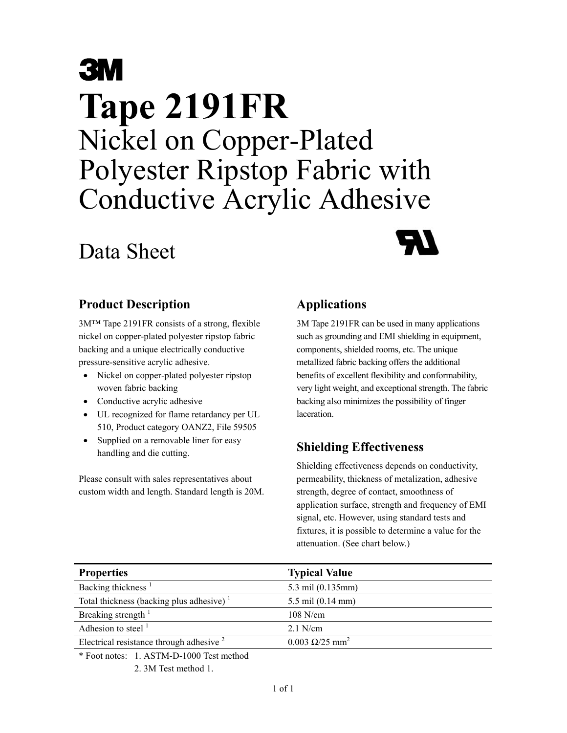# **3M Tape 2191FR**  Nickel on Copper-Plated Polyester Ripstop Fabric with Conductive Acrylic Adhesive

## Data Sheet



#### **Product Description**

3M™ Tape 2191FR consists of a strong, flexible nickel on copper-plated polyester ripstop fabric backing and a unique electrically conductive pressure-sensitive acrylic adhesive.

- Nickel on copper-plated polyester ripstop woven fabric backing
- Conductive acrylic adhesive
- UL recognized for flame retardancy per UL 510, Product category OANZ2, File 59505
- Supplied on a removable liner for easy handling and die cutting.

Please consult with sales representatives about custom width and length. Standard length is 20M.

#### **Applications**

3M Tape 2191FR can be used in many applications such as grounding and EMI shielding in equipment, components, shielded rooms, etc. The unique metallized fabric backing offers the additional benefits of excellent flexibility and conformability, very light weight, and exceptional strength. The fabric backing also minimizes the possibility of finger laceration.

### **Shielding Effectiveness**

Shielding effectiveness depends on conductivity, permeability, thickness of metalization, adhesive strength, degree of contact, smoothness of application surface, strength and frequency of EMI signal, etc. However, using standard tests and fixtures, it is possible to determine a value for the attenuation. (See chart below.)

| <b>Properties</b>                                   | <b>Typical Value</b>           |
|-----------------------------------------------------|--------------------------------|
| Backing thickness <sup>1</sup>                      | 5.3 mil (0.135mm)              |
| Total thickness (backing plus adhesive) $1$         | 5.5 mil (0.14 mm)              |
| Breaking strength <sup>1</sup>                      | $108$ N/cm                     |
| Adhesion to steel $1$                               | $2.1$ N/cm                     |
| Electrical resistance through adhesive <sup>2</sup> | $0.003 \Omega/25 \text{ mm}^2$ |

\* Foot notes: 1. ASTM-D-1000 Test method

2. 3M Test method 1.